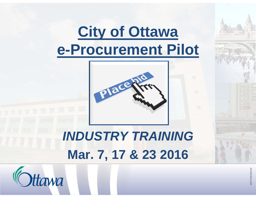# **City of Ottawa e-Procurement Pilot** *INDUSTRY TRAINING***Mar. 7, 17 & 23 2016**

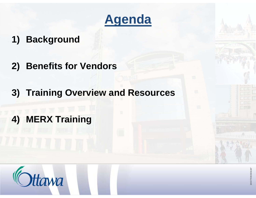

#### **1) Background**

- **2) Benefits for Vendors**
- **3) Training Overview and Resources**
- **4) MERX Training**

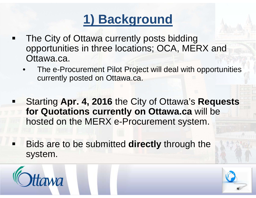## **1) Background**

- The City of Ottawa currently posts bidding opportunities in three locations; OCA, MERX and Ottawa.ca.
	- • The e-Procurement Pilot Project will deal with opportunities currently posted on Ottawa.ca.
- Ξ Starting **Apr. 4, 2016** the City of Ottawa's **Requests for Quotations currently on Ottawa.ca** will be hosted on the MERX e-Procurement system.
- Bids are to be submitted **directly** through the system.



Ξ

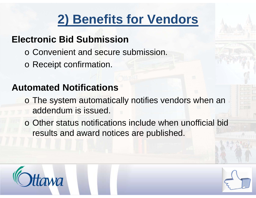## **2) Benefits for Vendors**

### **Electronic Bid Submission**

- o Convenient and secure submission.
- o Receipt confirmation.

## **Automated Notifications**

- o The system automatically notifies vendors when an addendum is issued.
- o Other status notifications include when unofficial bid results and award notices are published.



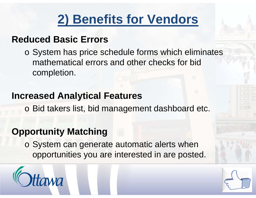## **2) Benefits for Vendors**

#### **Reduced Basic Errors**

o System has price schedule forms which eliminates mathematical errors and other checks for bid completion.

#### **Increased Analytical Features**

o Bid takers list, bid management dashboard etc.

#### **Opportunity Matching**

o System can generate automatic alerts when opportunities you are interested in are posted.



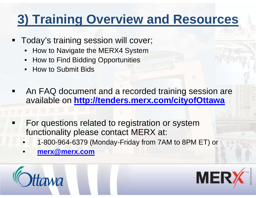## **3) Training Overview and Resources**

- **Today's training session will cover;** 
	- How to Navigate the MERX4 System
	- How to Find Bidding Opportunities
	- How to Submit Bids
- An FAQ document and a recorded training session are available on **http://tenders.merx.com/cityofOttawa**
- For questions related to registration or system functionality please contact MERX at:
	- •1-800-964-6379 (Monday-Friday from 7AM to 8PM ET) or
	- •**merx@merx.com**